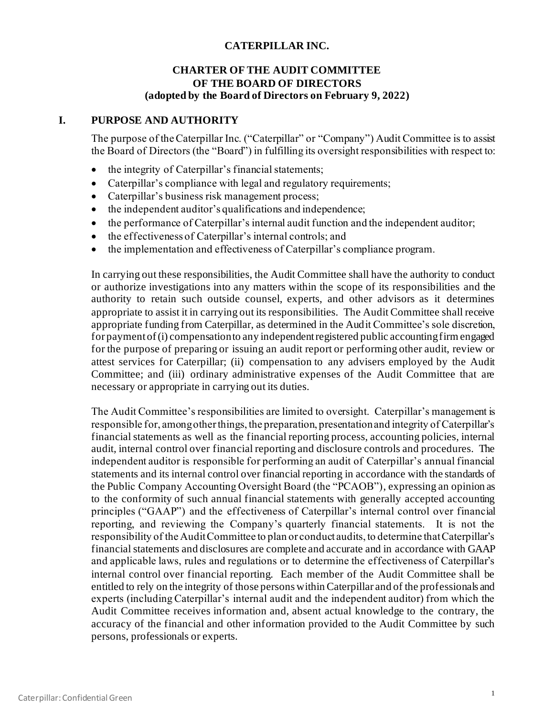# **CATERPILLAR INC.**

## **CHARTER OF THE AUDIT COMMITTEE OF THE BOARD OF DIRECTORS (adopted by the Board of Directors on February 9, 2022)**

## **I. PURPOSE AND AUTHORITY**

The purpose of the Caterpillar Inc. ("Caterpillar" or "Company") Audit Committee is to assist the Board of Directors (the "Board") in fulfilling its oversight responsibilities with respect to:

- the integrity of Caterpillar's financial statements;
- Caterpillar's compliance with legal and regulatory requirements;
- Caterpillar's business risk management process;
- the independent auditor's qualifications and independence;
- the performance of Caterpillar's internal audit function and the independent auditor;
- the effectiveness of Caterpillar's internal controls; and
- the implementation and effectiveness of Caterpillar's compliance program.

In carrying out these responsibilities, the Audit Committee shall have the authority to conduct or authorize investigations into any matters within the scope of its responsibilities and the authority to retain such outside counsel, experts, and other advisors as it determines appropriate to assist it in carrying out its responsibilities. The Audit Committee shall receive appropriate funding from Caterpillar, as determined in the Audit Committee's sole discretion, for payment of (i) compensation to any independent registered public accounting firm engaged for the purpose of preparing or issuing an audit report or performing other audit, review or attest services for Caterpillar; (ii) compensation to any advisers employed by the Audit Committee; and (iii) ordinary administrative expenses of the Audit Committee that are necessary or appropriate in carrying out its duties.

The Audit Committee's responsibilities are limited to oversight. Caterpillar's management is responsible for, among other things, the preparation, presentation and integrity of Caterpillar's financial statements as well as the financial reporting process, accounting policies, internal audit, internal control over financial reporting and disclosure controls and procedures. The independent auditor is responsible for performing an audit of Caterpillar's annual financial statements and its internal control over financial reporting in accordance with the standards of the Public Company Accounting Oversight Board (the "PCAOB"), expressing an opinion as to the conformity of such annual financial statements with generally accepted accounting principles ("GAAP") and the effectiveness of Caterpillar's internal control over financial reporting, and reviewing the Company's quarterly financial statements. It is not the responsibility of the Audit Committee to plan or conduct audits, to determine that Caterpillar's financial statements and disclosures are complete and accurate and in accordance with GAAP and applicable laws, rules and regulations or to determine the effectiveness of Caterpillar's internal control over financial reporting. Each member of the Audit Committee shall be entitled to rely on the integrity of those persons within Caterpillar and of the professionals and experts (including Caterpillar's internal audit and the independent auditor) from which the Audit Committee receives information and, absent actual knowledge to the contrary, the accuracy of the financial and other information provided to the Audit Committee by such persons, professionals or experts.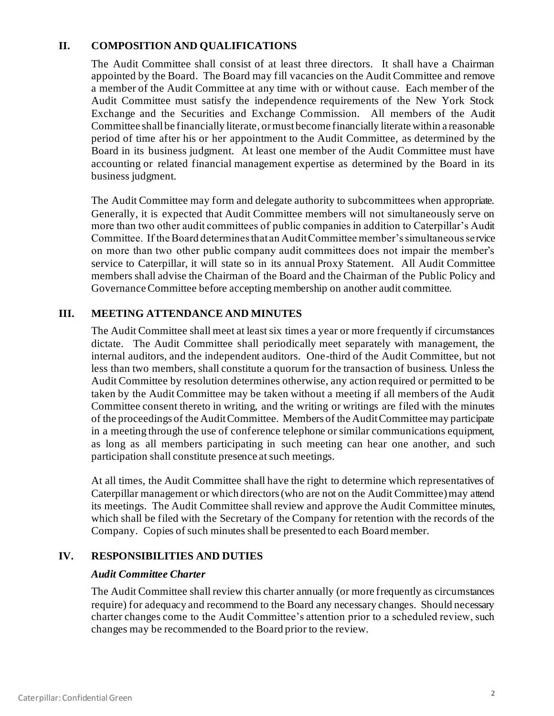# **II. COMPOSITION AND QUALIFICATIONS**

The Audit Committee shall consist of at least three directors. It shall have a Chairman appointed by the Board. The Board may fill vacancies on the Audit Committee and remove a member of the Audit Committee at any time with or without cause. Each member of the Audit Committee must satisfy the independence requirements of the New York Stock Exchange and the Securities and Exchange Commission. All members of the Audit Committee shall be financially literate, or must become financially literate within a reasonable period of time after his or her appointment to the Audit Committee, as determined by the Board in its business judgment. At least one member of the Audit Committee must have accounting or related financial management expertise as determined by the Board in its business judgment.

The Audit Committee may form and delegate authority to subcommittees when appropriate. Generally, it is expected that Audit Committee members will not simultaneously serve on more than two other audit committees of public companies in addition to Caterpillar's Audit Committee. If the Board determines that an Audit Committee member's simultaneous service on more than two other public company audit committees does not impair the member's service to Caterpillar, it will state so in its annual Proxy Statement. All Audit Committee members shall advise the Chairman of the Board and the Chairman of the Public Policy and Governance Committee before accepting membership on another audit committee.

# **III. MEETING ATTENDANCE AND MINUTES**

The Audit Committee shall meet at least six times a year or more frequently if circumstances dictate. The Audit Committee shall periodically meet separately with management, the internal auditors, and the independent auditors. One-third of the Audit Committee, but not less than two members, shall constitute a quorum for the transaction of business. Unless the Audit Committee by resolution determines otherwise, any action required or permitted to be taken by the Audit Committee may be taken without a meeting if all members of the Audit Committee consent thereto in writing, and the writing or writings are filed with the minutes of the proceedings of the Audit Committee. Members of the Audit Committee may participate in a meeting through the use of conference telephone or similar communications equipment, as long as all members participating in such meeting can hear one another, and such participation shall constitute presence at such meetings.

At all times, the Audit Committee shall have the right to determine which representatives of Caterpillar management or which directors (who are not on the Audit Committee) may attend its meetings. The Audit Committee shall review and approve the Audit Committee minutes, which shall be filed with the Secretary of the Company for retention with the records of the Company. Copies of such minutes shall be presented to each Board member.

# **IV. RESPONSIBILITIES AND DUTIES**

#### *Audit Committee Charter*

The Audit Committee shall review this charter annually (or more frequently as circumstances require) for adequacy and recommend to the Board any necessary changes. Should necessary charter changes come to the Audit Committee's attention prior to a scheduled review, such changes may be recommended to the Board prior to the review.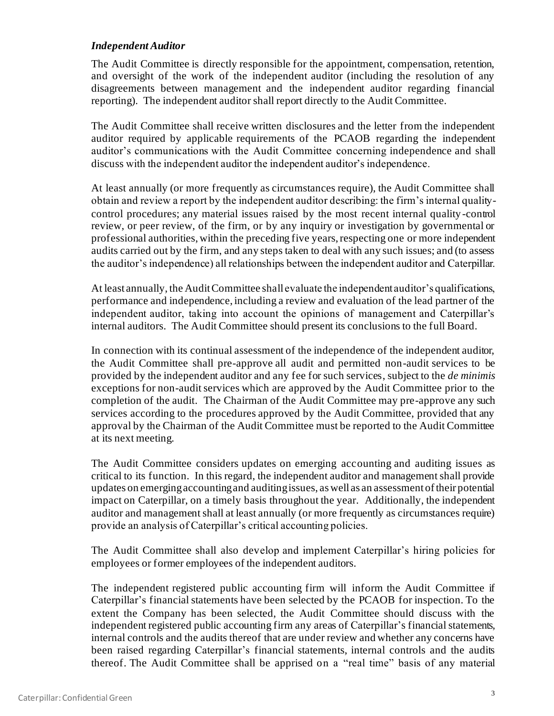### *Independent Auditor*

The Audit Committee is directly responsible for the appointment, compensation, retention, and oversight of the work of the independent auditor (including the resolution of any disagreements between management and the independent auditor regarding financial reporting). The independent auditor shall report directly to the Audit Committee.

The Audit Committee shall receive written disclosures and the letter from the independent auditor required by applicable requirements of the PCAOB regarding the independent auditor's communications with the Audit Committee concerning independence and shall discuss with the independent auditor the independent auditor's independence.

At least annually (or more frequently as circumstances require), the Audit Committee shall obtain and review a report by the independent auditor describing: the firm's internal qualitycontrol procedures; any material issues raised by the most recent internal quality -control review, or peer review, of the firm, or by any inquiry or investigation by governmental or professional authorities, within the preceding five years, respecting one or more independent audits carried out by the firm, and any steps taken to deal with any such issues; and (to assess the auditor's independence) all relationships between the independent auditor and Caterpillar.

At least annually, the Audit Committee shall evaluate the independent auditor's qualifications, performance and independence, including a review and evaluation of the lead partner of the independent auditor, taking into account the opinions of management and Caterpillar's internal auditors. The Audit Committee should present its conclusions to the full Board.

In connection with its continual assessment of the independence of the independent auditor, the Audit Committee shall pre-approve all audit and permitted non-audit services to be provided by the independent auditor and any fee for such services, subject to the *de minimis* exceptions for non-audit services which are approved by the Audit Committee prior to the completion of the audit. The Chairman of the Audit Committee may pre-approve any such services according to the procedures approved by the Audit Committee, provided that any approval by the Chairman of the Audit Committee must be reported to the Audit Committee at its next meeting.

The Audit Committee considers updates on emerging accounting and auditing issues as critical to its function. In this regard, the independent auditor and management shall provide updates on emerging accounting and auditing issues, as well as an assessment of their potential impact on Caterpillar, on a timely basis throughout the year. Additionally, the independent auditor and management shall at least annually (or more frequently as circumstances require) provide an analysis of Caterpillar's critical accounting policies.

The Audit Committee shall also develop and implement Caterpillar's hiring policies for employees or former employees of the independent auditors.

The independent registered public accounting firm will inform the Audit Committee if Caterpillar's financial statements have been selected by the PCAOB for inspection. To the extent the Company has been selected, the Audit Committee should discuss with the independent registered public accounting firm any areas of Caterpillar's financial statements, internal controls and the audits thereof that are under review and whether any concerns have been raised regarding Caterpillar's financial statements, internal controls and the audits thereof. The Audit Committee shall be apprised on a "real time" basis of any material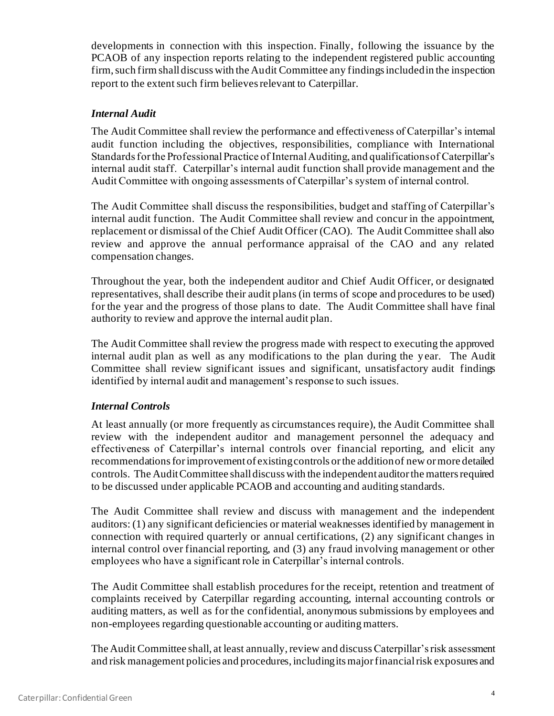developments in connection with this inspection. Finally, following the issuance by the PCAOB of any inspection reports relating to the independent registered public accounting firm, such firm shall discuss with the Audit Committee any findings included in the inspection report to the extent such firm believes relevant to Caterpillar.

### *Internal Audit*

The Audit Committee shall review the performance and effectiveness of Caterpillar's internal audit function including the objectives, responsibilities, compliance with International Standards for the Professional Practice of Internal Auditing, and qualifications of Caterpillar's internal audit staff. Caterpillar's internal audit function shall provide management and the Audit Committee with ongoing assessments of Caterpillar's system of internal control.

The Audit Committee shall discuss the responsibilities, budget and staffing of Caterpillar's internal audit function. The Audit Committee shall review and concur in the appointment, replacement or dismissal of the Chief Audit Officer (CAO). The Audit Committee shall also review and approve the annual performance appraisal of the CAO and any related compensation changes.

Throughout the year, both the independent auditor and Chief Audit Officer, or designated representatives, shall describe their audit plans (in terms of scope and procedures to be used) for the year and the progress of those plans to date. The Audit Committee shall have final authority to review and approve the internal audit plan.

The Audit Committee shall review the progress made with respect to executing the approved internal audit plan as well as any modifications to the plan during the year. The Audit Committee shall review significant issues and significant, unsatisfactory audit findings identified by internal audit and management's response to such issues.

#### *Internal Controls*

At least annually (or more frequently as circumstances require), the Audit Committee shall review with the independent auditor and management personnel the adequacy and effectiveness of Caterpillar's internal controls over financial reporting, and elicit any recommendations for improvement of existing controls or the addition of new or more detailed controls. The Audit Committee shall discuss with the independent auditor the matters required to be discussed under applicable PCAOB and accounting and auditing standards.

The Audit Committee shall review and discuss with management and the independent auditors: (1) any significant deficiencies or material weaknesses identified by management in connection with required quarterly or annual certifications, (2) any significant changes in internal control over financial reporting, and (3) any fraud involving management or other employees who have a significant role in Caterpillar's internal controls.

The Audit Committee shall establish procedures for the receipt, retention and treatment of complaints received by Caterpillar regarding accounting, internal accounting controls or auditing matters, as well as for the confidential, anonymous submissions by employees and non-employees regarding questionable accounting or auditing matters.

The Audit Committee shall, at least annually, review and discuss Caterpillar's risk assessment and risk management policies and procedures, including its major financial risk exposures and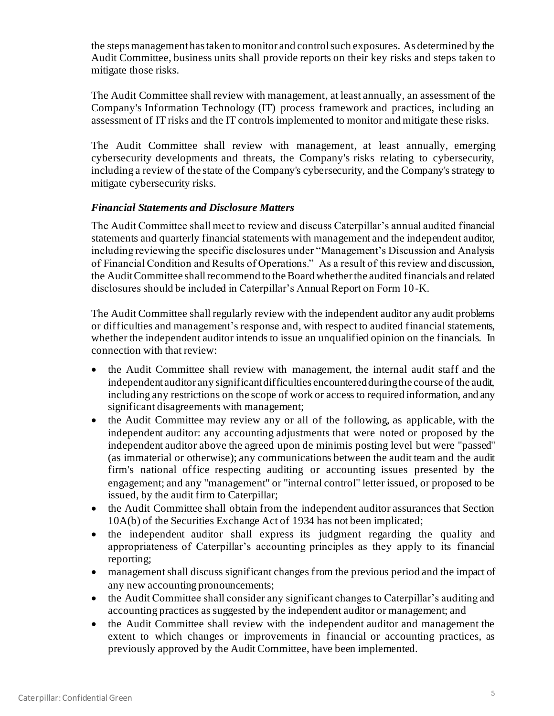the steps management has taken to monitor and control such exposures. As determined by the Audit Committee, business units shall provide reports on their key risks and steps taken to mitigate those risks.

The Audit Committee shall review with management, at least annually, an assessment of the Company's Information Technology (IT) process framework and practices, including an assessment of IT risks and the IT controls implemented to monitor and mitigate these risks.

The Audit Committee shall review with management, at least annually, emerging cybersecurity developments and threats, the Company's risks relating to cybersecurity, including a review of the state of the Company's cybersecurity, and the Company's strategy to mitigate cybersecurity risks.

## *Financial Statements and Disclosure Matters*

The Audit Committee shall meet to review and discuss Caterpillar's annual audited financial statements and quarterly financial statements with management and the independent auditor, including reviewing the specific disclosures under "Management's Discussion and Analysis of Financial Condition and Results of Operations." As a result of this review and discussion, the Audit Committee shall recommend to the Board whether the audited financials and related disclosures should be included in Caterpillar's Annual Report on Form 10-K.

The Audit Committee shall regularly review with the independent auditor any audit problems or difficulties and management's response and, with respect to audited financial statements, whether the independent auditor intends to issue an unqualified opinion on the financials. In connection with that review:

- the Audit Committee shall review with management, the internal audit staff and the independent auditor any significant difficulties encountered during the course of the audit, including any restrictions on the scope of work or access to required information, and any significant disagreements with management;
- the Audit Committee may review any or all of the following, as applicable, with the independent auditor: any accounting adjustments that were noted or proposed by the independent auditor above the agreed upon de minimis posting level but were "passed" (as immaterial or otherwise); any communications between the audit team and the audit firm's national office respecting auditing or accounting issues presented by the engagement; and any "management" or "internal control" letter issued, or proposed to be issued, by the audit firm to Caterpillar;
- the Audit Committee shall obtain from the independent auditor assurances that Section 10A(b) of the Securities Exchange Act of 1934 has not been implicated;
- the independent auditor shall express its judgment regarding the quality and appropriateness of Caterpillar's accounting principles as they apply to its financial reporting;
- management shall discuss significant changes from the previous period and the impact of any new accounting pronouncements;
- the Audit Committee shall consider any significant changes to Caterpillar's auditing and accounting practices as suggested by the independent auditor or management; and
- the Audit Committee shall review with the independent auditor and management the extent to which changes or improvements in financial or accounting practices, as previously approved by the Audit Committee, have been implemented.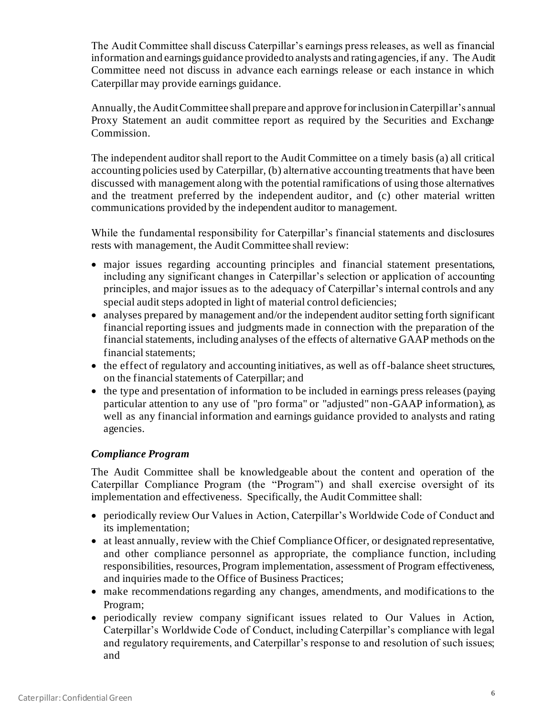The Audit Committee shall discuss Caterpillar's earnings press releases, as well as financial information and earnings guidance provided to analysts and rating agencies, if any. The Audit Committee need not discuss in advance each earnings release or each instance in which Caterpillar may provide earnings guidance.

Annually, the Audit Committee shall prepare and approve for inclusion in Caterpillar's annual Proxy Statement an audit committee report as required by the Securities and Exchange Commission.

The independent auditor shall report to the Audit Committee on a timely basis (a) all critical accounting policies used by Caterpillar, (b) alternative accounting treatments that have been discussed with management along with the potential ramifications of using those alternatives and the treatment preferred by the independent auditor, and (c) other material written communications provided by the independent auditor to management.

While the fundamental responsibility for Caterpillar's financial statements and disclosures rests with management, the Audit Committee shall review:

- major issues regarding accounting principles and financial statement presentations, including any significant changes in Caterpillar's selection or application of accounting principles, and major issues as to the adequacy of Caterpillar's internal controls and any special audit steps adopted in light of material control deficiencies;
- analyses prepared by management and/or the independent auditor setting forth significant financial reporting issues and judgments made in connection with the preparation of the financial statements, including analyses of the effects of alternative GAAP methods on the financial statements;
- the effect of regulatory and accounting initiatives, as well as off-balance sheet structures, on the financial statements of Caterpillar; and
- the type and presentation of information to be included in earnings press releases (paying particular attention to any use of "pro forma" or "adjusted" non-GAAP information), as well as any financial information and earnings guidance provided to analysts and rating agencies.

# *Compliance Program*

The Audit Committee shall be knowledgeable about the content and operation of the Caterpillar Compliance Program (the "Program") and shall exercise oversight of its implementation and effectiveness. Specifically, the Audit Committee shall:

- periodically review Our Values in Action, Caterpillar's Worldwide Code of Conduct and its implementation;
- at least annually, review with the Chief Compliance Officer, or designated representative, and other compliance personnel as appropriate, the compliance function, including responsibilities, resources, Program implementation, assessment of Program effectiveness, and inquiries made to the Office of Business Practices;
- make recommendations regarding any changes, amendments, and modifications to the Program;
- periodically review company significant issues related to Our Values in Action, Caterpillar's Worldwide Code of Conduct, including Caterpillar's compliance with legal and regulatory requirements, and Caterpillar's response to and resolution of such issues; and